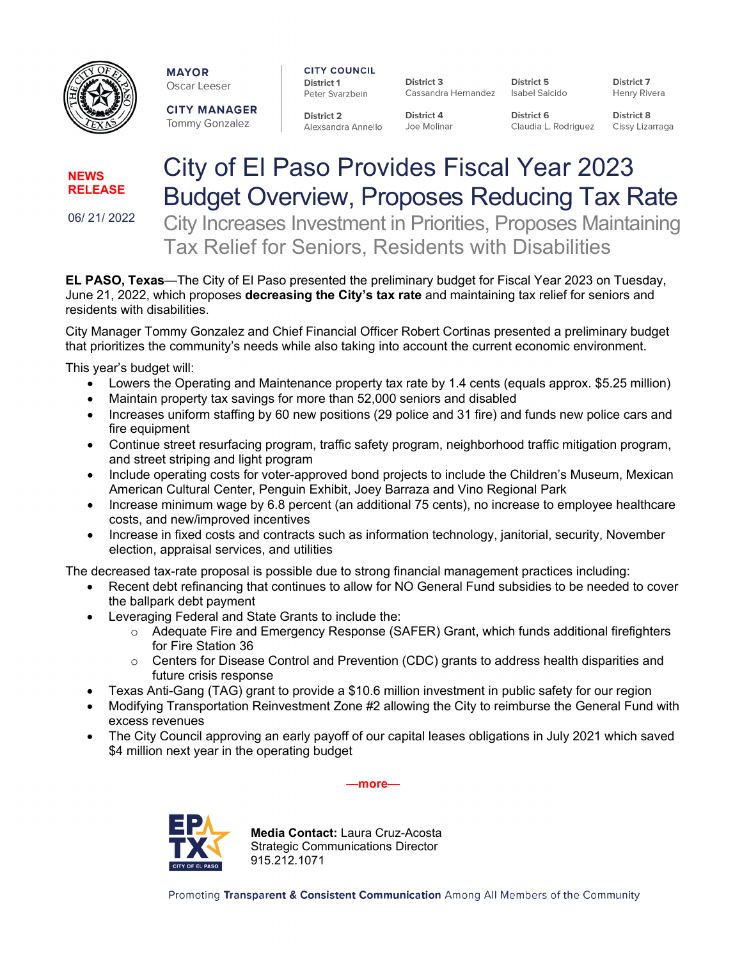

**MAYOR** Oscar Leeser **CITY COUNCIL District 1** Peter Svarzbein

District 3 Cassandra Hernandez

District 5 Isabel Salcido

District 7 Henry Rivera

**CITY MANAGER** Tommy Gonzalez

**District 2** Alexsandra Annello

District 4 Joe Molinar District 6 Claudia L. Rodriguez District 8 Cissy Lizarraga

## **NEWS RELEASE**

06/ 21/ 2022

City of El Paso Provides Fiscal Year 2023 Budget Overview, Proposes Reducing Tax Rate City Increases Investment in Priorities, Proposes Maintaining

Tax Relief for Seniors, Residents with Disabilities

**EL PASO, Texas**—The City of El Paso presented the preliminary budget for Fiscal Year 2023 on Tuesday, June 21, 2022, which proposes **decreasing the City's tax rate** and maintaining tax relief for seniors and residents with disabilities.

City Manager Tommy Gonzalez and Chief Financial Officer Robert Cortinas presented a preliminary budget that prioritizes the community's needs while also taking into account the current economic environment.

This year's budget will:

- Lowers the Operating and Maintenance property tax rate by 1.4 cents (equals approx. \$5.25 million)
- Maintain property tax savings for more than 52,000 seniors and disabled
- Increases uniform staffing by 60 new positions (29 police and 31 fire) and funds new police cars and fire equipment
- Continue street resurfacing program, traffic safety program, neighborhood traffic mitigation program, and street striping and light program
- Include operating costs for voter-approved bond projects to include the Children's Museum, Mexican American Cultural Center, Penguin Exhibit, Joey Barraza and Vino Regional Park
- Increase minimum wage by 6.8 percent (an additional 75 cents), no increase to employee healthcare costs, and new/improved incentives
- Increase in fixed costs and contracts such as information technology, janitorial, security, November election, appraisal services, and utilities

The decreased tax-rate proposal is possible due to strong financial management practices including:

- Recent debt refinancing that continues to allow for NO General Fund subsidies to be needed to cover the ballpark debt payment
- Leveraging Federal and State Grants to include the:
	- $\circ$  Adequate Fire and Emergency Response (SAFER) Grant, which funds additional firefighters for Fire Station 36
	- $\circ$  Centers for Disease Control and Prevention (CDC) grants to address health disparities and future crisis response
- Texas Anti-Gang (TAG) grant to provide a \$10.6 million investment in public safety for our region
- Modifying Transportation Reinvestment Zone #2 allowing the City to reimburse the General Fund with excess revenues
- The City Council approving an early payoff of our capital leases obligations in July 2021 which saved \$4 million next year in the operating budget

**—more—**



**Media Contact:** Laura Cruz-Acosta Strategic Communications Director 915.212.1071

Promoting Transparent & Consistent Communication Among All Members of the Community